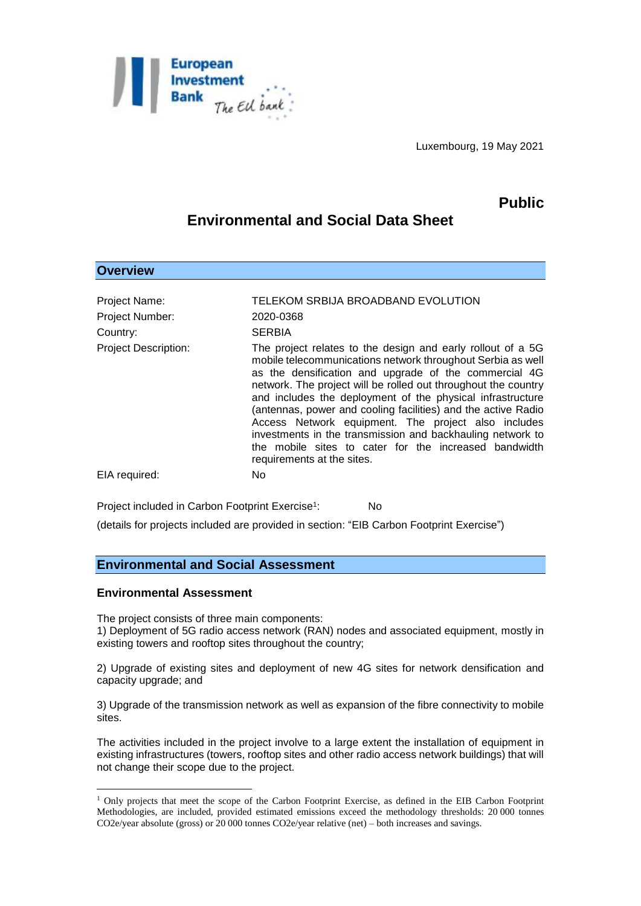

Luxembourg, 19 May 2021

# **Public**

## **Environmental and Social Data Sheet**

| Project Name:<br>Project Number:<br>Country: | TELEKOM SRBIJA BROADBAND EVOLUTION<br>2020-0368<br><b>SERBIA</b>                                                                                                                                                                                                                                                                                                                                                                                                                                                                                                                                 |
|----------------------------------------------|--------------------------------------------------------------------------------------------------------------------------------------------------------------------------------------------------------------------------------------------------------------------------------------------------------------------------------------------------------------------------------------------------------------------------------------------------------------------------------------------------------------------------------------------------------------------------------------------------|
| <b>Project Description:</b>                  | The project relates to the design and early rollout of a 5G<br>mobile telecommunications network throughout Serbia as well<br>as the densification and upgrade of the commercial 4G<br>network. The project will be rolled out throughout the country<br>and includes the deployment of the physical infrastructure<br>(antennas, power and cooling facilities) and the active Radio<br>Access Network equipment. The project also includes<br>investments in the transmission and backhauling network to<br>the mobile sites to cater for the increased bandwidth<br>requirements at the sites. |
| EIA required:                                | No.                                                                                                                                                                                                                                                                                                                                                                                                                                                                                                                                                                                              |

Project included in Carbon Footprint Exercise<sup>1</sup>: : No

(details for projects included are provided in section: "EIB Carbon Footprint Exercise")

## **Environmental and Social Assessment**

#### **Environmental Assessment**

1

**Overview**

The project consists of three main components:

1) Deployment of 5G radio access network (RAN) nodes and associated equipment, mostly in existing towers and rooftop sites throughout the country;

2) Upgrade of existing sites and deployment of new 4G sites for network densification and capacity upgrade; and

3) Upgrade of the transmission network as well as expansion of the fibre connectivity to mobile sites.

The activities included in the project involve to a large extent the installation of equipment in existing infrastructures (towers, rooftop sites and other radio access network buildings) that will not change their scope due to the project.

<sup>&</sup>lt;sup>1</sup> Only projects that meet the scope of the Carbon Footprint Exercise, as defined in the EIB Carbon Footprint Methodologies, are included, provided estimated emissions exceed the methodology thresholds: 20 000 tonnes CO2e/year absolute (gross) or 20 000 tonnes CO2e/year relative (net) – both increases and savings.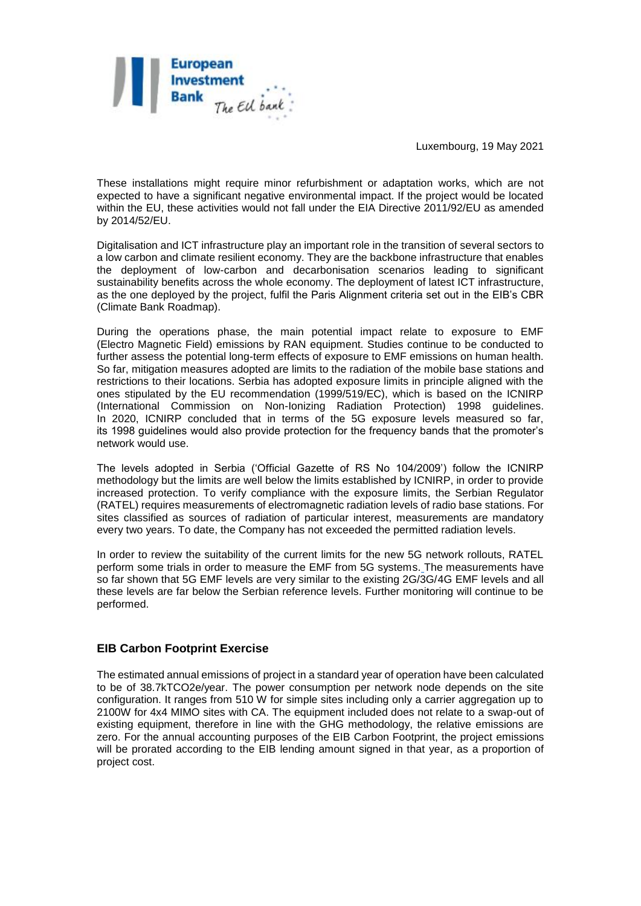

Luxembourg, 19 May 2021

These installations might require minor refurbishment or adaptation works, which are not expected to have a significant negative environmental impact. If the project would be located within the EU, these activities would not fall under the EIA Directive 2011/92/EU as amended by 2014/52/EU.

Digitalisation and ICT infrastructure play an important role in the transition of several sectors to a low carbon and climate resilient economy. They are the backbone infrastructure that enables the deployment of low-carbon and decarbonisation scenarios leading to significant sustainability benefits across the whole economy. The deployment of latest ICT infrastructure, as the one deployed by the project, fulfil the Paris Alignment criteria set out in the EIB's CBR (Climate Bank Roadmap).

During the operations phase, the main potential impact relate to exposure to EMF (Electro Magnetic Field) emissions by RAN equipment. Studies continue to be conducted to further assess the potential long-term effects of exposure to EMF emissions on human health. So far, mitigation measures adopted are limits to the radiation of the mobile base stations and restrictions to their locations. Serbia has adopted exposure limits in principle aligned with the ones stipulated by the EU recommendation (1999/519/EC), which is based on the ICNIRP (International Commission on Non-Ionizing Radiation Protection) 1998 guidelines. In 2020, ICNIRP concluded that in terms of the 5G exposure levels measured so far, its 1998 guidelines would also provide protection for the frequency bands that the promoter's network would use.

The levels adopted in Serbia ('Official Gazette of RS No 104/2009') follow the ICNIRP methodology but the limits are well below the limits established by ICNIRP, in order to provide increased protection. To verify compliance with the exposure limits, the Serbian Regulator (RATEL) requires measurements of electromagnetic radiation levels of radio base stations. For sites classified as sources of radiation of particular interest, measurements are mandatory every two years. To date, the Company has not exceeded the permitted radiation levels.

In order to review the suitability of the current limits for the new 5G network rollouts, RATEL perform some trials in order to measure the EMF from 5G systems. The measurements have so far shown that 5G EMF levels are very similar to the existing 2G/3G/4G EMF levels and all these levels are far below the Serbian reference levels. Further monitoring will continue to be performed.

### **EIB Carbon Footprint Exercise**

The estimated annual emissions of project in a standard year of operation have been calculated to be of 38.7kTCO2e/year. The power consumption per network node depends on the site configuration. It ranges from 510 W for simple sites including only a carrier aggregation up to 2100W for 4x4 MIMO sites with CA. The equipment included does not relate to a swap-out of existing equipment, therefore in line with the GHG methodology, the relative emissions are zero. For the annual accounting purposes of the EIB Carbon Footprint, the project emissions will be prorated according to the EIB lending amount signed in that year, as a proportion of project cost.